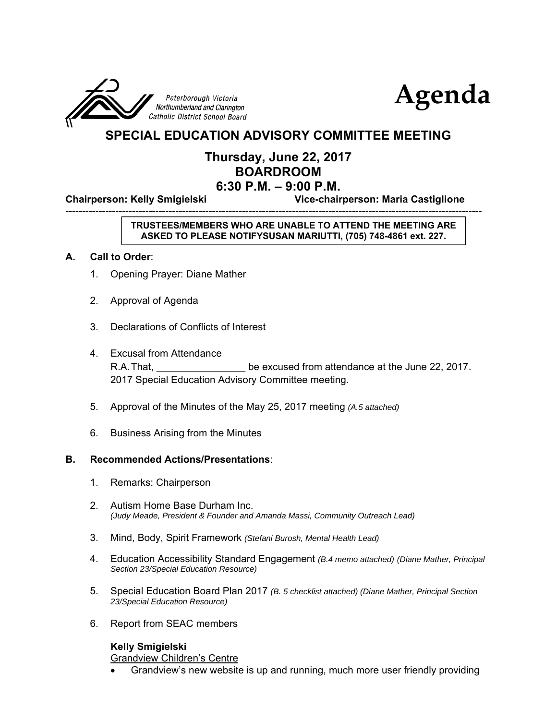



# **SPECIAL EDUCATION ADVISORY COMMITTEE MEETING**

# **Thursday, June 22, 2017 BOARDROOM 6:30 P.M. – 9:00 P.M.**

-----------------------------------------------------------------------------------------------------------------------------

**Chairperson: Kelly Smigielski Vice-chairperson: Maria Castiglione**

## **TRUSTEES/MEMBERS WHO ARE UNABLE TO ATTEND THE MEETING ARE ASKED TO PLEASE NOTIFYSUSAN MARIUTTI, (705) 748-4861 ext. 227.**

### **A. Call to Order**:

- 1. Opening Prayer: Diane Mather
- 2. Approval of Agenda
- 3. Declarations of Conflicts of Interest
- 4. Excusal from Attendance R.A. That, **R.A.** That, **R.A.** That, **R.A.** That, **R.A.** That, **R.A.** That, **R.A.** The excused from attendance at the June 22, 2017. 2017 Special Education Advisory Committee meeting.
- 5. Approval of the Minutes of the May 25, 2017 meeting *(A.5 attached)*
- 6. Business Arising from the Minutes

#### **B. Recommended Actions/Presentations**:

- 1. Remarks: Chairperson
- 2. Autism Home Base Durham Inc. *(Judy Meade, President & Founder and Amanda Massi, Community Outreach Lead)*
- 3. Mind, Body, Spirit Framework *(Stefani Burosh, Mental Health Lead)*
- 4. Education Accessibility Standard Engagement *(B.4 memo attached) (Diane Mather, Principal Section 23/Special Education Resource)*
- 5. Special Education Board Plan 2017 *(B. 5 checklist attached) (Diane Mather, Principal Section 23/Special Education Resource)*
- 6. Report from SEAC members

# **Kelly Smigielski**

Grandview Children's Centre

Grandview's new website is up and running, much more user friendly providing